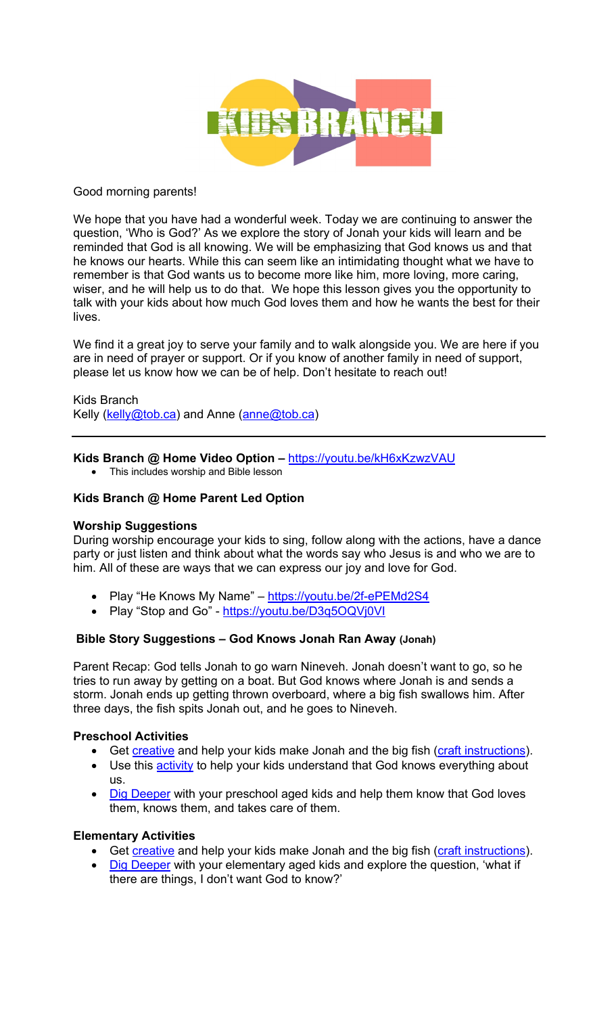

## Good morning parents!

We hope that you have had a wonderful week. Today we are continuing to answer the question, 'Who is God?' As we explore the story of Jonah your kids will learn and be reminded that God is all knowing. We will be emphasizing that God knows us and that he knows our hearts. While this can seem like an intimidating thought what we have to remember is that God wants us to become more like him, more loving, more caring, wiser, and he will help us to do that. We hope this lesson gives you the opportunity to talk with your kids about how much God loves them and how he wants the best for their lives.

We find it a great joy to serve your family and to walk alongside you. We are here if you are in need of prayer or support. Or if you know of another family in need of support, please let us know how we can be of help. Don't hesitate to reach out!

Kids Branch Kelly (kelly@tob.ca) and Anne (anne@tob.ca)

## **Kids Branch @ Home Video Option –** https://youtu.be/kH6xKzwzVAU

• This includes worship and Bible lesson

## **Kids Branch @ Home Parent Led Option**

#### **Worship Suggestions**

During worship encourage your kids to sing, follow along with the actions, have a dance party or just listen and think about what the words say who Jesus is and who we are to him. All of these are ways that we can express our joy and love for God.

- Play "He Knows My Name" https://youtu.be/2f-ePEMd2S4
- Play "Stop and Go" https://youtu.be/D3q5OQVj0VI

#### **Bible Story Suggestions – God Knows Jonah Ran Away (Jonah)**

Parent Recap: God tells Jonah to go warn Nineveh. Jonah doesn't want to go, so he tries to run away by getting on a boat. But God knows where Jonah is and sends a storm. Jonah ends up getting thrown overboard, where a big fish swallows him. After three days, the fish spits Jonah out, and he goes to Nineveh.

#### **Preschool Activities**

- Get creative and help your kids make Jonah and the big fish (craft instructions).
- Use this **activity** to help your kids understand that God knows everything about us.
- Dig Deeper with your preschool aged kids and help them know that God loves them, knows them, and takes care of them.

#### **Elementary Activities**

- Get creative and help your kids make Jonah and the big fish (craft instructions).
- Dig Deeper with your elementary aged kids and explore the question, 'what if there are things, I don't want God to know?'